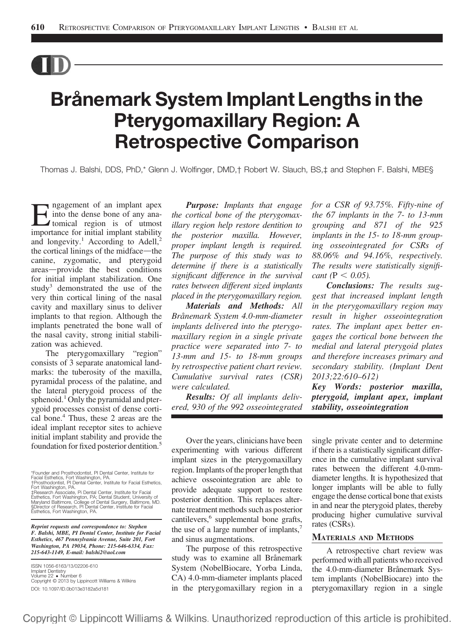# Brånemark System Implant Lengths in the<br>Pterygomaxillary Region: A **Retrospective Comparison** Retrospective Comparison

Thomas J. Balshi, DDS, PhD,\* Glenn J. Wolfinger, DMD,† Robert W. Slauch, BS,‡ and Stephen F. Balshi, MBE§

**Examplement of an implant apex**<br>tomical region is of utmost<br>importance for initial implant stability into the dense bone of any anaimportance for initial implant stability and longevity.<sup>1</sup> According to Adell,<sup>2</sup> the cortical linings of the midface—the canine, zygomatic, and pterygoid areas-provide the best conditions for initial implant stabilization. One study<sup>3</sup> demonstrated the use of the very thin cortical lining of the nasal cavity and maxillary sinus to deliver implants to that region. Although the implants penetrated the bone wall of the nasal cavity, strong initial stabilization was achieved.

The pterygomaxillary "region" consists of 3 separate anatomical landmarks: the tuberosity of the maxilla, pyramidal process of the palatine, and the lateral pterygoid process of the sphenoid.<sup>1</sup> Only the pyramidal and pterygoid processes consist of dense cortical bone.4 Thus, these 2 areas are the ideal implant receptor sites to achieve initial implant stability and provide the foundation for fixed posterior dentition.<sup>5</sup> Over the years, clinicians have been<br>foundation for fixed posterior dentition.<sup>5</sup>

\*Founder and Prosthodontist, PI Dental Center, Institute for Facial Esthetics, Fort Washington, PA. †Prosthodontist, PI Dental Center, Institute for Facial Esthetics, Fort Washington, PA.

‡Research Associate, Pi Dental Center, Institute for Facial Esthetics, Fort Washington, PA; Dental Student, University of<br>Maryland Baltimore, College of Dental Surgery, Baltimore, MD.<br>§Director of Research, PI Dental Center, Institute for Facial Esthetics, Fort Washington, PA.

Reprint requests and correspondence to: Stephen F. Balshi, MBE, PI Dental Center, Institute for Facial Esthetics, 467 Pennsylvania Avenue, Suite 201, Fort Washington, PA 19034, Phone: 215-646-6334, Fax: 215-643-1149, E-mail: balshi2@aol.com

ISSN 1056-6163/13/02206-610 Implant Dentistry Volume 22 Number 6 Copyright © 2013 by Lippincott Williams & Wilkins DOI: 10.1097/ID.0b013e3182a5d181

Purpose: Implants that engage the cortical bone of the pterygomaxillary region help restore dentition to the posterior maxilla. However, proper implant length is required. The purpose of this study was to determine if there is a statistically significant difference in the survival rates between different sized implants placed in the pterygomaxillary region.

Materials and Methods: All Brånemark System 4.0-mm-diameter implants delivered into the pterygomaxillary region in a single private practice were separated into 7- to 13-mm and 15- to 18-mm groups by retrospective patient chart review. Cumulative survival rates (CSR) were calculated.

Results: Of all implants delivered, 930 of the 992 osseointegrated for a CSR of 93.75%. Fifty-nine of the 67 implants in the 7- to 13-mm grouping and 871 of the 925 implants in the 15- to 18-mm grouping osseointegrated for CSRs of 88.06% and 94.16%, respectively. The results were statistically significant ( $P < 0.05$ ).

Conclusions: The results suggest that increased implant length in the pterygomaxillary region may result in higher osseointegration rates. The implant apex better engages the cortical bone between the medial and lateral pterygoid plates and therefore increases primary and secondary stability. (Implant Dent 2013;22:610–612)

Key Words: posterior maxilla, pterygoid, implant apex, implant stability, osseointegration

experimenting with various different implant sizes in the pterygomaxillary region. Implants of the proper length that achieve osseointegration are able to provide adequate support to restore posterior dentition. This replaces alternate treatment methods such as posterior cantilevers,<sup>6</sup> supplemental bone grafts, the use of a large number of implants, and sinus augmentations.

The purpose of this retrospective study was to examine all Brånemark System (NobelBiocare, Yorba Linda, CA) 4.0-mm-diameter implants placed in the pterygomaxillary region in a single private center and to determine if there is a statistically significant difference in the cumulative implant survival rates between the different 4.0-mmdiameter lengths. It is hypothesized that longer implants will be able to fully engage the dense cortical bone that exists in and near the pterygoid plates, thereby producing higher cumulative survival rates (CSRs).

# MATERIALS AND METHODS

A retrospective chart review was performed with all patients who received the 4.0-mm-diameter Brånemark System implants (NobelBiocare) into the pterygomaxillary region in a single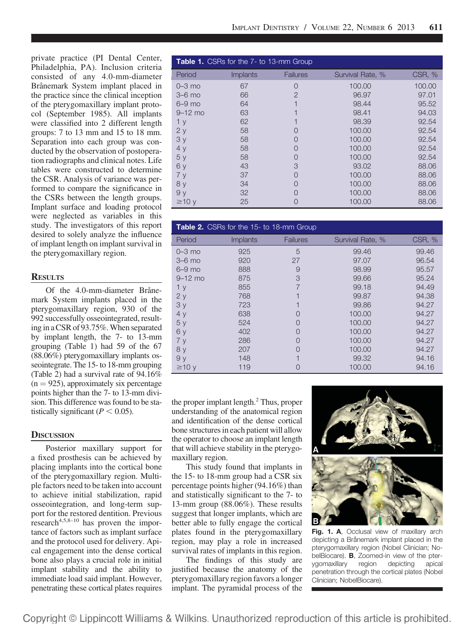private practice (PI Dental Center, Philadelphia, PA). Inclusion criteria consisted of any 4.0-mm-diameter Brånemark System implant placed in the practice since the clinical inception of the pterygomaxillary implant protocol (September 1985). All implants were classified into 2 different length groups: 7 to 13 mm and 15 to 18 mm. Separation into each group was conducted by the observation of postoperation radiographs and clinical notes. Life tables were constructed to determine the CSR. Analysis of variance was performed to compare the significance in the CSRs between the length groups. Implant surface and loading protocol were neglected as variables in this study. The investigators of this report desired to solely analyze the influence of implant length on implant survival in the pterygomaxillary region.

# **RESULTS**

Of the 4.0-mm-diameter Brånemark System implants placed in the pterygomaxillary region, 930 of the 992 successfully osseointegrated, resulting in a CSR of 93.75%.When separated by implant length, the 7- to 13-mm grouping (Table 1) had 59 of the 67 (88.06%) pterygomaxillary implants osseointegrate. The 15- to 18-mm grouping (Table 2) had a survival rate of 94.16%  $(n = 925)$ , approximately six percentage points higher than the 7- to 13-mm division. This difference was found to be statistically significant ( $P < 0.05$ ).

# **DISCUSSION**

Posterior maxillary support for a fixed prosthesis can be achieved by placing implants into the cortical bone of the pterygomaxillary region. Multiple factors need to be taken into account to achieve initial stabilization, rapid osseointegration, and long-term support for the restored dentition. Previous  $r$ esearch<sup>4,5,8–10</sup> has proven the importance of factors such as implant surface and the protocol used for delivery. Apical engagement into the dense cortical bone also plays a crucial role in initial implant stability and the ability to immediate load said implant. However, penetrating these cortical plates requires

| <b>Table 1.</b> CSRs for the 7- to 13-mm Group |                 |                    |                  |        |  |  |
|------------------------------------------------|-----------------|--------------------|------------------|--------|--|--|
| Period                                         | <b>Implants</b> | <b>Failures</b>    | Survival Rate, % | CSR, % |  |  |
| $0 - 3$ mo                                     | 67              | Ω                  | 100.00           | 100.00 |  |  |
| $3-6$ mo                                       | 66              | $\overline{2}$     | 96.97            | 97.01  |  |  |
| $6 - 9$ mo                                     | 64              |                    | 98.44            | 95.52  |  |  |
| $9-12$ mo                                      | 63              |                    | 98.41            | 94.03  |  |  |
| 1 <sub>y</sub>                                 | 62              |                    | 98.39            | 92.54  |  |  |
| 2y                                             | 58              |                    | 100.00           | 92.54  |  |  |
| 3y                                             | 58              | $\left( \right)$   | 100.00           | 92.54  |  |  |
| 4y                                             | 58              | $\left( \right)$   | 100.00           | 92.54  |  |  |
| 5y                                             | 58              |                    | 100.00           | 92.54  |  |  |
| 6у                                             | 43              | 3                  | 93.02            | 88.06  |  |  |
| 7y                                             | 37              | $\left( \right)$   | 100.00           | 88.06  |  |  |
| 8 y                                            | 34              | $\left( \ \right)$ | 100.00           | 88.06  |  |  |
| 9 y                                            | 32              |                    | 100.00           | 88.06  |  |  |
| $\geq$ 10 y                                    | 25              | U                  | 100.00           | 88.06  |  |  |

| <b>Table 2.</b> CSRs for the 15- to 18-mm Group |                 |                 |                  |        |  |  |
|-------------------------------------------------|-----------------|-----------------|------------------|--------|--|--|
| Period                                          | <b>Implants</b> | <b>Failures</b> | Survival Rate, % | CSR, % |  |  |
| $0 - 3$ mo                                      | 925             | 5               | 99.46            | 99.46  |  |  |
| $3-6$ mo                                        | 920             | 27              | 97.07            | 96.54  |  |  |
| $6-9$ mo                                        | 888             | 9               | 98.99            | 95.57  |  |  |
| $9 - 12$ mo                                     | 875             | 3               | 99.66            | 95.24  |  |  |
| 1 <sub>y</sub>                                  | 855             |                 | 99.18            | 94.49  |  |  |
| 2y                                              | 768             |                 | 99.87            | 94.38  |  |  |
| 3y                                              | 723             |                 | 99.86            | 94.27  |  |  |
| 4y                                              | 638             |                 | 100.00           | 94.27  |  |  |
| 5y                                              | 524             |                 | 100.00           | 94.27  |  |  |
| 6y                                              | 402             |                 | 100.00           | 94.27  |  |  |
| 7y                                              | 286             |                 | 100.00           | 94.27  |  |  |
| 8y                                              | 207             |                 | 100.00           | 94.27  |  |  |
| 9y                                              | 148             |                 | 99.32            | 94.16  |  |  |
| $\geq$ 10 y                                     | 119             |                 | 100.00           | 94.16  |  |  |

the proper implant length.<sup>2</sup> Thus, proper understanding of the anatomical region and identification of the dense cortical bone structures in each patient will allow the operator to choose an implant length that will achieve stability in the pterygomaxillary region.

This study found that implants in the 15- to 18-mm group had a CSR six percentage points higher (94.16%) than and statistically significant to the 7- to 13-mm group (88.06%). These results suggest that longer implants, which are better able to fully engage the cortical plates found in the pterygomaxillary region, may play a role in increased survival rates of implants in this region.

The findings of this study are justified because the anatomy of the pterygomaxillary region favors a longer implant. The pyramidal process of the



Fig. 1. A, Occlusal view of maxillary arch depicting a Brånemark implant placed in the pterygomaxillary region (Nobel Clinician; NobelBiocare). **B**, Zoomed-in view of the pter-<br>vaomaxillary region depicting apical ygomaxillary region depicting penetration through the cortical plates (Nobel Clinician; NobelBiocare).